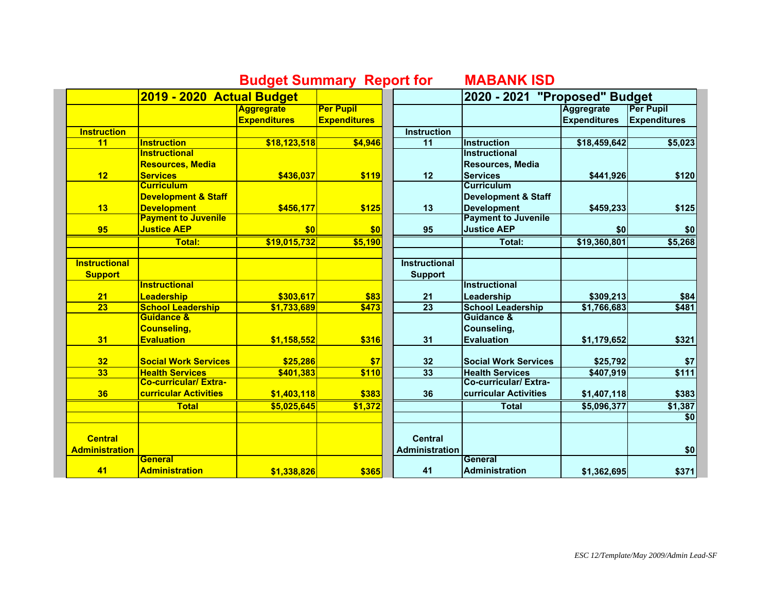## **Budget Summary Report for MABANK ISD**

|                       | 2019 - 2020 Actual Budget      |                     |                     |                       | 2020 - 2021 "Proposed" Budget  |                     |                     |
|-----------------------|--------------------------------|---------------------|---------------------|-----------------------|--------------------------------|---------------------|---------------------|
|                       |                                | <b>Aggregrate</b>   | <b>Per Pupil</b>    |                       |                                | <b>Aggregrate</b>   | <b>Per Pupil</b>    |
|                       |                                | <b>Expenditures</b> | <b>Expenditures</b> |                       |                                | <b>Expenditures</b> | <b>Expenditures</b> |
| <b>Instruction</b>    |                                |                     |                     | <b>Instruction</b>    |                                |                     |                     |
| 11                    | <b>Instruction</b>             | \$18,123,518        | \$4,946             | $\overline{11}$       | <b>Instruction</b>             | \$18,459,642        | \$5,023             |
|                       | <b>Instructional</b>           |                     |                     |                       | <b>Instructional</b>           |                     |                     |
|                       | <b>Resources, Media</b>        |                     |                     |                       | Resources, Media               |                     |                     |
| 12                    | <b>Services</b>                | \$436,037           | \$119               | 12                    | <b>Services</b>                | \$441,926           | \$120               |
|                       | <b>Curriculum</b>              |                     |                     |                       | <b>Curriculum</b>              |                     |                     |
|                       | <b>Development &amp; Staff</b> |                     |                     |                       | <b>Development &amp; Staff</b> |                     |                     |
| 13                    | <b>Development</b>             | \$456,177           | \$125               | 13                    | <b>Development</b>             | \$459,233           | \$125               |
|                       | <b>Payment to Juvenile</b>     |                     |                     |                       | <b>Payment to Juvenile</b>     |                     |                     |
| 95                    | <b>Justice AEP</b>             | \$0                 | \$0                 | 95                    | <b>Justice AEP</b>             | \$0                 | \$0                 |
|                       | <b>Total:</b>                  | \$19,015,732        | \$5,190             |                       | Total:                         | \$19,360,801        | \$5,268             |
| <b>Instructional</b>  |                                |                     |                     | <b>Instructional</b>  |                                |                     |                     |
| <b>Support</b>        |                                |                     |                     | <b>Support</b>        |                                |                     |                     |
|                       | <b>Instructional</b>           |                     |                     |                       | <b>Instructional</b>           |                     |                     |
| 21                    | Leadership                     | \$303,617           | \$83                | 21                    | Leadership                     | \$309,213           | \$84                |
| $\overline{23}$       | <b>School Leadership</b>       | \$1,733,689         | \$473               | $\overline{23}$       | <b>School Leadership</b>       | \$1,766,683         | \$481               |
|                       | <b>Guidance &amp;</b>          |                     |                     |                       | Guidance &                     |                     |                     |
|                       | Counseling,                    |                     |                     |                       | Counseling,                    |                     |                     |
| 31                    | <b>Evaluation</b>              | \$1,158,552         | \$316               | 31                    | <b>Evaluation</b>              | \$1,179,652         | \$321               |
| 32                    | <b>Social Work Services</b>    | \$25,286            | \$7                 | 32                    | <b>Social Work Services</b>    | \$25,792            | \$7                 |
| 33                    | <b>Health Services</b>         | \$401,383           | \$110               | 33                    | <b>Health Services</b>         | \$407,919           | \$111               |
|                       | <b>Co-curricular/ Extra-</b>   |                     |                     |                       | <b>Co-curricular/Extra-</b>    |                     |                     |
| 36                    | curricular Activities          | \$1,403,118         | \$383               | 36                    | <b>curricular Activities</b>   | \$1,407,118         | \$383               |
|                       | <b>Total</b>                   | \$5,025,645         | \$1,372             |                       | <b>Total</b>                   | \$5,096,377         | \$1,387             |
|                       |                                |                     |                     |                       |                                |                     | \$0                 |
| <b>Central</b>        |                                |                     |                     | <b>Central</b>        |                                |                     |                     |
| <b>Administration</b> |                                |                     |                     | <b>Administration</b> |                                |                     | \$0                 |
|                       | General                        |                     |                     |                       | General                        |                     |                     |
| 41                    | <b>Administration</b>          | \$1,338,826         | \$365               | 41                    | <b>Administration</b>          | \$1,362,695         | \$371               |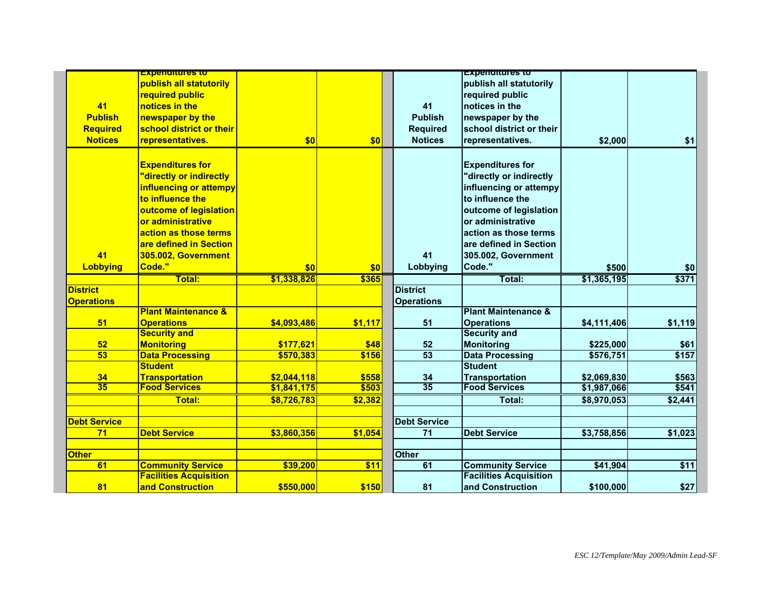|                       | <u>Expenditures to</u>                        |             |         |                       | <b>Expenditures to</b>                        |             |         |
|-----------------------|-----------------------------------------------|-------------|---------|-----------------------|-----------------------------------------------|-------------|---------|
|                       | publish all statutorily                       |             |         |                       | publish all statutorily                       |             |         |
|                       | required public                               |             |         |                       | required public                               |             |         |
| 41                    | notices in the                                |             |         | 41                    | notices in the                                |             |         |
| <b>Publish</b>        | newspaper by the                              |             |         | <b>Publish</b>        | newspaper by the                              |             |         |
| <b>Required</b>       | school district or their                      |             |         | <b>Required</b>       | school district or their                      |             |         |
| <b>Notices</b>        | representatives.                              | \$0         | \$0     | <b>Notices</b>        | representatives.                              | \$2,000     | \$1     |
|                       | <b>Expenditures for</b>                       |             |         |                       | <b>Expenditures for</b>                       |             |         |
|                       | "directly or indirectly                       |             |         |                       | 'directly or indirectly                       |             |         |
|                       | influencing or attempy                        |             |         |                       | influencing or attempy                        |             |         |
|                       | to influence the                              |             |         |                       | to influence the                              |             |         |
|                       | outcome of legislation                        |             |         |                       | outcome of legislation                        |             |         |
|                       | or administrative                             |             |         |                       | or administrative                             |             |         |
|                       | action as those terms                         |             |         |                       | action as those terms                         |             |         |
|                       | are defined in Section                        |             |         |                       | are defined in Section                        |             |         |
| 41                    | 305.002, Government                           |             |         | 41                    | 305.002, Government                           |             |         |
| <b>Lobbying</b>       | Code."                                        | \$0         | \$0     | Lobbying              | Code."                                        | \$500       | \$0]    |
|                       | Total:                                        | \$1,338,826 | \$365   |                       | Total:                                        | \$1,365,195 | \$371   |
| <b>District</b>       |                                               |             |         | <b>District</b>       |                                               |             |         |
| <b>Operations</b>     |                                               |             |         | <b>Operations</b>     |                                               |             |         |
|                       | <b>Plant Maintenance &amp;</b>                |             |         |                       | <b>Plant Maintenance &amp;</b>                |             |         |
| 51                    | <b>Operations</b>                             | \$4,093,486 | \$1,117 | 51                    | <b>Operations</b>                             | \$4,111,406 | \$1,119 |
|                       | <b>Security and</b>                           |             |         |                       | <b>Security and</b>                           |             |         |
| 52                    | <b>Monitoring</b>                             | \$177,621   | \$48    | 52                    | <b>Monitoring</b>                             | \$225,000   | \$61    |
| 53                    | <b>Data Processing</b>                        | \$570,383   | \$156   | 53                    | <b>Data Processing</b>                        | \$576,751   | \$157   |
|                       | <b>Student</b>                                |             |         |                       | <b>Student</b>                                |             |         |
| 34<br>$\overline{35}$ | <b>Transportation</b><br><b>Food Services</b> | \$2,044,118 | \$558   | 34<br>$\overline{35}$ | <b>Transportation</b><br><b>Food Services</b> | \$2,069,830 | \$563   |
|                       |                                               | \$1,841,175 | \$503   |                       |                                               | \$1,987,066 | \$541   |
|                       | Total:                                        | \$8,726,783 | \$2,382 |                       | Total:                                        | \$8,970,053 | \$2,441 |
| <b>Debt Service</b>   |                                               |             |         | <b>Debt Service</b>   |                                               |             |         |
| 71                    | <b>Debt Service</b>                           | \$3,860,356 | \$1,054 | $71$                  | <b>Debt Service</b>                           | \$3,758,856 | \$1,023 |
| <b>Other</b>          |                                               |             |         | <b>Other</b>          |                                               |             |         |
| 61                    | <b>Community Service</b>                      | \$39,200    | \$11    | 61                    | <b>Community Service</b>                      | \$41,904    | \$11    |
|                       | <b>Facilities Acquisition</b>                 |             |         |                       | <b>Facilities Acquisition</b>                 |             |         |
| 81                    | and Construction                              | \$550,000   | \$150   | 81                    | and Construction                              | \$100,000   | \$27    |